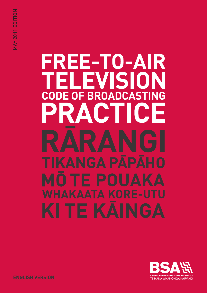# **FREE-TO-AIR ELEVISION CODE OF BROADCASTING** ACTICE

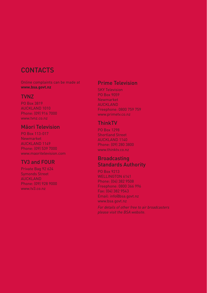# **CONTACTS**

Online complaints can be made at **www.bsa.govt.nz**

#### TVNZ

PO Box 3819 AUCKLAND 1010 Phone: (09) 916 7000 www.tvnz.co.nz

#### Māori Television

PO Box 113-017 Newmarket AUCKLAND 1149 Phone: (09) 539 7000 www.maoritelevision.com

#### TV3 and FOUR

Private Bag 92 624 Symonds Street AUCKLAND Phone: (09) 928 9000 www.tv3.co.nz

#### Prime Television

SKY Television PO Box 9059 Newmarket AUCKLAND Freephone: 0800 759 759 www.primetv.co.nz

#### ThinkTV

PO Box 1298 Shortland Street AUCKLAND 1140 Phone: (09) 280 3800 www.thinktv.co.nz

#### **Broadcasting** Standards Authority

PO Box 9213 WELLINGTON 6141 Phone: (04) 382 9508 Freephone: 0800 366 996 Fax: (04) 382 9543 Email: info@bsa.govt.nz www.bsa.govt.nz

*For details of other free to air broadcasters please visit the BSA website.*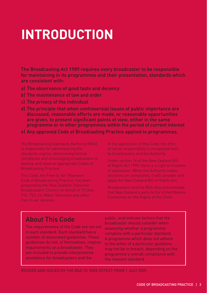# **INTRODUCTION**

The Broadcasting Act 1989 requires every broadcaster to be responsible for maintaining in its programmes and their presentation, standards which are consistent with:

- a) The observance of good taste and decency
- b) The maintenance of law and order
- c) The privacy of the individual
- d) The principle that when controversial issues of public importance are discussed, reasonable efforts are made, or reasonable opportunities are given, to present significant points of view, either in the same programme or in other programmes within the period of current interest
- e) Any approved Code of Broadcasting Practice applied to programmes.

Broadcasters' Council on behalf of TV One, TV2, TV3, C4, Māori Television and other

Under section 14 of the New Zealand Bill apply the New Zealand Bill of Rights Act.

Broadcasters and the BSA also acknowledge that New Zealand is party to the United Nations

# About This Code

The requirements of the Code are set out in each standard. Each standard has a number of associated guidelines. These guidelines do not, of themselves, impose requirements on a broadcaster. They are included to provide interpretative assistance for broadcasters and the

public, and indicate factors that the broadcaster should consider when assessing whether a programme complies with a particular standard. A programme which does not adhere to the letter of a particular guideline may not be in breach, depending on the programme's overall compliance with the relevant standard.

Revised and issued by the BSA to take effect from 1 JULY 2009.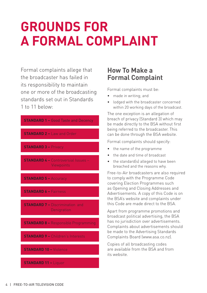# **GROUNDS FOR A FORMAL COMPLAINT**

Formal complaints allege that the broadcaster has failed in its responsibility to maintain one or more of the broadcasting standards set out in Standards 1 to 11 below:



## **How To Make a Formal Complaint**

Formal complaints must be:

- made in writing; and
- lodged with the broadcaster concerned within 20 working days of the broadcast.

The one exception is an allegation of breach of privacy (Standard 3) which may be made directly to the BSA without first being referred to the broadcaster. This can be done through the BSA website.

Formal complaints should specify:

- the name of the programme
- the date and time of broadcast
- the standard(s) alleged to have been breached and the reasons why.

Free-to-Air broadcasters are also required to comply with the Programme Code covering Election Programmes such as Opening and Closing Addresses and Advertisements. A copy of this Code is on the BSA's website and complaints under this Code are made direct to the BSA.

Apart from programme promotions and broadcast political advertising, the BSA has no jurisdiction over advertisements. Complaints about advertisements should be made to the Advertising Standards Complaints Board (www.asa.co.nz).

Copies of all broadcasting codes are available from the BSA and from its website.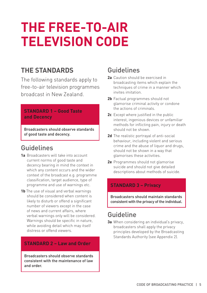# **THE FREE-TO-AIR TELEVISION CODE**

# **THE STANDARDS**

The following standards apply to free-to-air television programmes broadcast in New Zealand.

#### **STANDARD 1 – Good Taste and Decency**

Broadcasters should observe standards of good taste and decency.

# Guidelines

- **1a** Broadcasters will take into account current norms of good taste and decency bearing in mind the context in which any content occurs and the wider context of the broadcast e.g. programme classification, target audience, type of programme and use of warnings etc.
- **1b** The use of visual and verbal warnings should be considered when content is likely to disturb or offend a significant number of viewers except in the case of news and current affairs, where verbal warnings only will be considered. Warnings should be specific in nature, while avoiding detail which may itself distress or offend viewers.

#### **STANDARD 2 – Law and Order**

Broadcasters should observe standards consistent with the maintenance of law and order.

# Guidelines

- **2a** Caution should be exercised in broadcasting items which explain the techniques of crime in a manner which invites imitation.
- **2b** Factual programmes should not glamorise criminal activity or condone the actions of criminals.
- **2c** Except where justified in the public interest, ingenious devices or unfamiliar methods for inflicting pain, injury or death should not be shown.
- **2d** The realistic portrayal of anti-social behaviour, including violent and serious crime and the abuse of liquor and drugs, should not be shown in a way that glamorises these activities.
- **2e** Programmes should not glamorise suicide and should not give detailed descriptions about methods of suicide.

#### **STANDARD 3 – Privacy**

Broadcasters should maintain standards consistent with the privacy of the individual.

# Guideline

**3a** When considering an individual's privacy, broadcasters shall apply the privacy principles developed by the Broadcasting Standards Authority (see Appendix 2).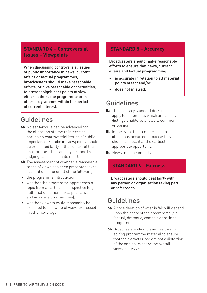#### **STANDARD 4 – Controversial Issues – Viewpoints**

When discussing controversial issues of public importance in news, current affairs or factual programmes, broadcasters should make reasonable efforts, or give reasonable opportunities, to present significant points of view either in the same programme or in other programmes within the period of current interest.

# Guidelines

- **4a** No set formula can be advanced for the allocation of time to interested parties on controversial issues of public importance. Significant viewpoints should be presented fairly in the context of the programme. This can only be done by judging each case on its merits.
- **4b** The assessment of whether a reasonable range of views has been presented takes account of some or all of the following:
- the programme introduction;
- whether the programme approaches a topic from a particular perspective (e.g. authorial documentaries, public access and advocacy programmes);
- whether viewers could reasonably be expected to be aware of views expressed in other coverage.

#### **STANDARD 5 – Accuracy**

Broadcasters should make reasonable efforts to ensure that news, current affairs and factual programming:

- is accurate in relation to all material points of fact and/or
- does not mislead.

### Guidelines

- **5a** The accuracy standard does not apply to statements which are clearly distinguishable as analysis, comment or opinion.
- **5b** In the event that a material error of fact has occurred, broadcasters should correct it at the earliest appropriate opportunity.
- **5c** News must be impartial.

#### **STANDARD 6 – Fairness**

Broadcasters should deal fairly with any person or organisation taking part or referred to.

## Guidelines

- **6a** A consideration of what is fair will depend upon the genre of the programme (e.g. factual, dramatic, comedic or satirical programmes).
- **6b** Broadcasters should exercise care in editing programme material to ensure that the extracts used are not a distortion of the original event or the overall views expressed.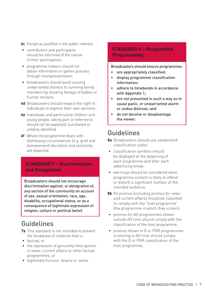**6c** Except as justified in the public interest:

- contributors and participants should be informed of the nature of their participation;
- programme makers should not obtain information or gather pictures through misrepresentation;
- broadcasters should avoid causing unwarranted distress to surviving family members by showing footage of bodies or human remains.
- **6d** Broadcasters should respect the right of individuals to express their own opinions.
- **6e** Individuals and particularly children and young people, taking part or referred to should not be exploited, humiliated or unfairly identified.
- **6f** Where the programme deals with distressing circumstances (e.g. grief and bereavement) discretion and sensitivity are expected.

#### **STANDARD 7 – Discrimination and Denigration**

Broadcasters should not encourage discrimination against, or denigration of, any section of the community on account of sex, sexual orientation, race, age, disability, occupational status, or as a consequence of legitimate expression of religion, culture or political belief.

# Guidelines

- **7a** This standard is not intended to prevent the broadcast of material that is:
- factual, or
- the expression of genuinely held opinion in news, current affairs or other factual programmes, or
- legitimate humour, drama or satire.

#### **STANDARD 8 – Responsible Programming**

Broadcasters should ensure programmes:

- are appropriately classified;
- display programme classification information;
- adhere to timebands in accordance with Appendix 1;
- are not presented in such a way as to cause panic, or unwarranted alarm or undue distress; and
- do not deceive or disadvantage the viewer.

# Guidelines

- **8a** Broadcasters should use established classification codes:
- classification symbols should be displayed at the beginning of each programme and after each advertising break;
- warnings should be considered when programme content is likely to offend or disturb a significant number of the intended audience.
- **8b** All promos (including promos for news and current affairs) should be classified to comply with the "host programme" (the programme in which they screen):
- promos for AO programmes shown outside AO time should comply with the classification of the host programme;
- promos shown in G or PGR programmes screening in AO time should comply with the G or PGR classification of the host programme;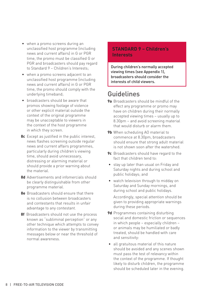- when a promo screens during an unclassified host programme (including news and current affairs) in G or PGR time, the promo must be classified G or PGR and broadcasters should pay regard to Standard 9 – Children's Interests;
- when a promo screens adjacent to an unclassified host programme (including news and current affairs) in G or PGR time, the promo should comply with the underlying timeband;
- broadcasters should be aware that promos showing footage of violence or other explicit material outside the context of the original programme may be unacceptable to viewers in the context of the host programme in which they screen.
- **8c** Except as justified in the public interest, news flashes screening outside regular news and current affairs programmes, particularly during children's viewing time, should avoid unnecessary, distressing or alarming material or should provide a prior warning about the material.
- **8d** Advertisements and infomercials should be clearly distinguishable from other programme material.
- **8e** Broadcasters should ensure that there is no collusion between broadcasters and contestants that results in unfair advantage to any contestant.
- **8f** Broadcasters should not use the process known as "subliminal perception" or any other technique which attempts to convey information to the viewer by transmitting messages below or near the threshold of normal awareness.

#### **STANDARD 9 – Children's Interests**

During children's normally accepted viewing times (see Appendix 1), broadcasters should consider the interests of child viewers.

# Guidelines

- **9a** Broadcasters should be mindful of the effect any programme or promo may have on children during their normally accepted viewing times – usually up to 8.30pm – and avoid screening material that would disturb or alarm them.
- **9b** When scheduling AO material to commence at 8.30pm, broadcasters should ensure that strong adult material is not shown soon after the watershed.
- **9c** Broadcasters should have regard to the fact that children tend to:
- stay up later than usual on Friday and Saturday nights and during school and public holidays; and
- watch television through to midday on Saturday and Sunday mornings, and during school and public holidays.

Accordingly, special attention should be given to providing appropriate warnings during these periods.

- **9d** Programmes containing disturbing social and domestic friction or sequences in which people – especially children – or animals may be humiliated or badly treated, should be handled with care and sensitivity:
- all gratuitous material of this nature should be avoided and any scenes shown must pass the test of relevancy within the context of the programme. If thought likely to disturb children, the programme should be scheduled later in the evening.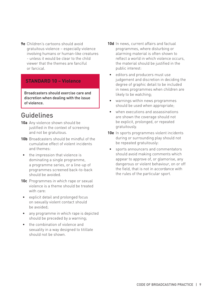**9e** Children's cartoons should avoid gratuitous violence – especially violence involving humans or human-like creatures - unless it would be clear to the child viewer that the themes are fanciful or farcical.

#### **STANDARD 10 – Violence**

Broadcasters should exercise care and discretion when dealing with the issue of violence.

## Guidelines

- **10a** Any violence shown should be justified in the context of screening and not be gratuitous.
- **10b** Broadcasters should be mindful of the cumulative effect of violent incidents and themes:
- the impression that violence is dominating a single programme, a programme series, or a line-up of programmes screened back-to-back should be avoided.
- **10c** Programmes in which rape or sexual violence is a theme should be treated with care:
- explicit detail and prolonged focus on sexually violent contact should be avoided;
- any programme in which rape is depicted should be preceded by a warning;
- the combination of violence and sexuality in a way designed to titillate should not be shown.
- **10d** In news, current affairs and factual programmes, where disturbing or alarming material is often shown to reflect a world in which violence occurs, the material should be justified in the public interest:
- editors and producers must use judgement and discretion in deciding the degree of graphic detail to be included in news programmes when children are likely to be watching;
- warnings within news programmes should be used when appropriate;
- when executions and assassinations are shown the coverage should not be explicit, prolonged, or repeated gratuitously.
- **10e** In sports programmes violent incidents during or surrounding play should not be repeated gratuitously:
- sports announcers and commentators should avoid making comments which appear to approve of, or glamorise, any dangerous or violent behaviour, on or off the field, that is not in accordance with the rules of the particular sport.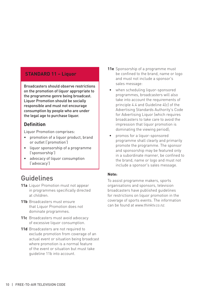#### **STANDARD 11 – Liquor**

Broadcasters should observe restrictions on the promotion of liquor appropriate to the programme genre being broadcast. Liquor Promotion should be socially responsible and must not encourage consumption by people who are under the legal age to purchase liquor.

#### **Definition**

Liquor Promotion comprises:

- promotion of a liquor product, brand or outlet ('promotion')
- liquor sponsorship of a programme ('sponsorship')
- advocacy of liquor consumption ('advocacy')

# Guidelines

- **11a** Liquor Promotion must not appear in programmes specifically directed at children.
- **11b** Broadcasters must ensure that Liquor Promotion does not dominate programmes.
- **11c** Broadcasters must avoid advocacy of excessive liquor consumption.
- **11d** Broadcasters are not required to exclude promotion from coverage of an actual event or situation being broadcast where promotion is a normal feature of the event or situation but must take guideline 11b into account.
- **11e** Sponsorship of a programme must be confined to the brand, name or logo and must not include a sponsor's sales message:
- when scheduling liquor-sponsored programmes, broadcasters will also take into account the requirements of principle 4.4 and Guideline 4(c) of the Advertising Standards Authority's Code for Advertising Liquor (which requires broadcasters to take care to avoid the impression that liquor promotion is dominating the viewing period);
- promos for a liquor-sponsored programme shall clearly and primarily promote the programme. The sponsor and sponsorship may be featured only in a subordinate manner, be confined to the brand, name or logo and must not include a sponsor's sales message.

#### **Note:**

To assist programme makers, sports organisations and sponsors, television broadcasters have published guidelines for restrictions on liquor promotion in the coverage of sports events. The information can be found at *www.thinktv.co.nz.*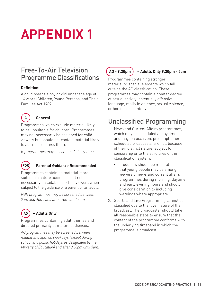# **APPENDIX 1**

# Free-To-Air Television Programme Classifications

#### **Definition:**

A child means a boy or girl under the age of 14 years (Children, Young Persons, and Their Families Act 1989).



#### **– General**

Programmes which exclude material likely to be unsuitable for children. Programmes may not necessarily be designed for child viewers but should not contain material likely to alarm or distress them.

*G programmes may be screened at any time.*



#### **– Parental Guidance Recommended**

Programmes containing material more suited for mature audiences but not necessarily unsuitable for child viewers when subject to the guidance of a parent or an adult.

*PGR programmes may be screened between 9am and 4pm, and after 7pm until 6am.*



Programmes containing adult themes and directed primarily at mature audiences.

*AO programmes may be screened between midday and 3pm on weekdays (except during school and public holidays as designated by the Ministry of Education) and after 8.30pm until 5am.*



#### **AO - 9.30pm – Adults Only 9.30pm - 5am**

Programmes containing stronger material or special elements which fall outside the AO classification. These programmes may contain a greater degree of sexual activity, potentially offensive language, realistic violence, sexual violence, or horrific encounters.

# Unclassified Programming

- 1. News and Current Affairs programmes, which may be scheduled at any time and may, on occasion, pre-empt other scheduled broadcasts, are not, because of their distinct nature, subject to censorship or to the strictures of the classification system:
	- producers should be mindful that young people may be among viewers of news and current affairs programmes during morning, daytime and early evening hours and should give consideration to including warnings where appropriate.
- 2. Sports and Live Programming cannot be classified due to the 'live' nature of the broadcast. The broadcaster should take all reasonable steps to ensure that the content of the programme conforms with the underlying timeband in which the programme is broadcast.